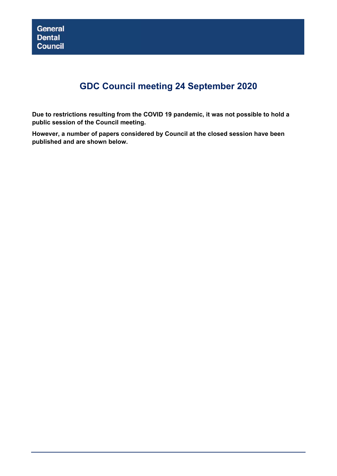# **GDC Council meeting 24 September 2020**

**Due to restrictions resulting from the COVID 19 pandemic, it was not possible to hold a public session of the Council meeting.** 

**However, a number of papers considered by Council at the closed session have been published and are shown below.**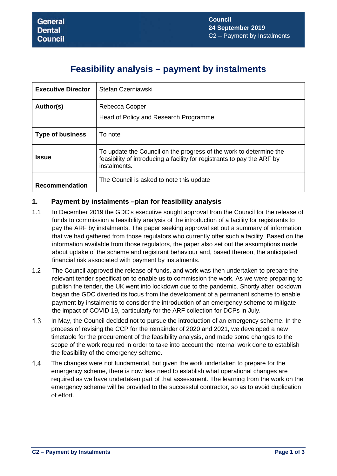## **Feasibility analysis – payment by instalments**

| <b>Executive Director</b> | Stefan Czerniawski                                                                                                                                            |
|---------------------------|---------------------------------------------------------------------------------------------------------------------------------------------------------------|
| Author(s)                 | Rebecca Cooper<br>Head of Policy and Research Programme                                                                                                       |
| <b>Type of business</b>   | To note                                                                                                                                                       |
| <b>Issue</b>              | To update the Council on the progress of the work to determine the<br>feasibility of introducing a facility for registrants to pay the ARF by<br>instalments. |
| <b>Recommendation</b>     | The Council is asked to note this update                                                                                                                      |

## **1. Payment by instalments –plan for feasibility analysis**

- 1.1 In December 2019 the GDC's executive sought approval from the Council for the release of funds to commission a feasibility analysis of the introduction of a facility for registrants to pay the ARF by instalments. The paper seeking approval set out a summary of information that we had gathered from those regulators who currently offer such a facility. Based on the information available from those regulators, the paper also set out the assumptions made about uptake of the scheme and registrant behaviour and, based thereon, the anticipated financial risk associated with payment by instalments.
- 1.2 The Council approved the release of funds, and work was then undertaken to prepare the relevant tender specification to enable us to commission the work. As we were preparing to publish the tender, the UK went into lockdown due to the pandemic. Shortly after lockdown began the GDC diverted its focus from the development of a permanent scheme to enable payment by instalments to consider the introduction of an emergency scheme to mitigate the impact of COVID 19, particularly for the ARF collection for DCPs in July.
- $1.3$ In May, the Council decided not to pursue the introduction of an emergency scheme. In the process of revising the CCP for the remainder of 2020 and 2021, we developed a new timetable for the procurement of the feasibility analysis, and made some changes to the scope of the work required in order to take into account the internal work done to establish the feasibility of the emergency scheme.
- $1.4$ The changes were not fundamental, but given the work undertaken to prepare for the emergency scheme, there is now less need to establish what operational changes are required as we have undertaken part of that assessment. The learning from the work on the emergency scheme will be provided to the successful contractor, so as to avoid duplication of effort.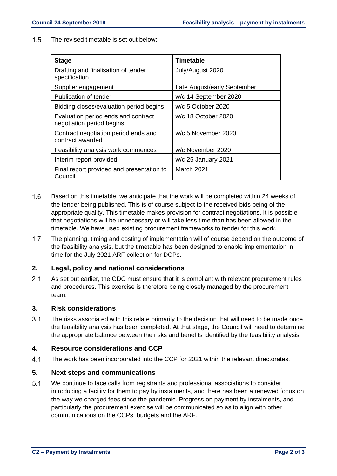$1.5$ The revised timetable is set out below:

| <b>Stage</b>                                                     | Timetable                   |
|------------------------------------------------------------------|-----------------------------|
| Drafting and finalisation of tender<br>specification             | July/August 2020            |
| Supplier engagement                                              | Late August/early September |
| Publication of tender                                            | w/c 14 September 2020       |
| Bidding closes/evaluation period begins                          | w/c 5 October 2020          |
| Evaluation period ends and contract<br>negotiation period begins | w/c 18 October 2020         |
| Contract negotiation period ends and<br>contract awarded         | w/c 5 November 2020         |
| Feasibility analysis work commences                              | w/c November 2020           |
| Interim report provided                                          | w/c 25 January 2021         |
| Final report provided and presentation to<br>Council             | March 2021                  |

- $1.6$ Based on this timetable, we anticipate that the work will be completed within 24 weeks of the tender being published. This is of course subject to the received bids being of the appropriate quality. This timetable makes provision for contract negotiations. It is possible that negotiations will be unnecessary or will take less time than has been allowed in the timetable. We have used existing procurement frameworks to tender for this work.
- $1.7$ The planning, timing and costing of implementation will of course depend on the outcome of the feasibility analysis, but the timetable has been designed to enable implementation in time for the July 2021 ARF collection for DCPs.

### **2. Legal, policy and national considerations**

 $2.1$ As set out earlier, the GDC must ensure that it is compliant with relevant procurement rules and procedures. This exercise is therefore being closely managed by the procurement team.

### **3. Risk considerations**

 $3.1$ The risks associated with this relate primarily to the decision that will need to be made once the feasibility analysis has been completed. At that stage, the Council will need to determine the appropriate balance between the risks and benefits identified by the feasibility analysis.

### **4. Resource considerations and CCP**

 $4.1$ The work has been incorporated into the CCP for 2021 within the relevant directorates.

### **5. Next steps and communications**

 $5.1$ We continue to face calls from registrants and professional associations to consider introducing a facility for them to pay by instalments, and there has been a renewed focus on the way we charged fees since the pandemic. Progress on payment by instalments, and particularly the procurement exercise will be communicated so as to align with other communications on the CCPs, budgets and the ARF.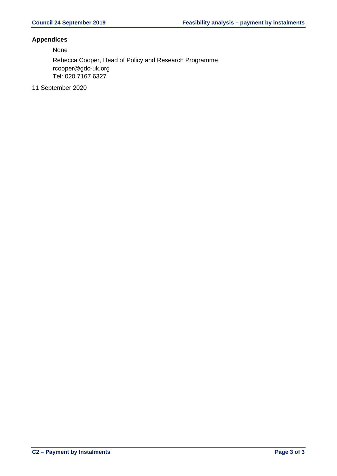### **Appendices**

None

Rebecca Cooper, Head of Policy and Research Programme rcooper@gdc-uk.org Tel: 020 7167 6327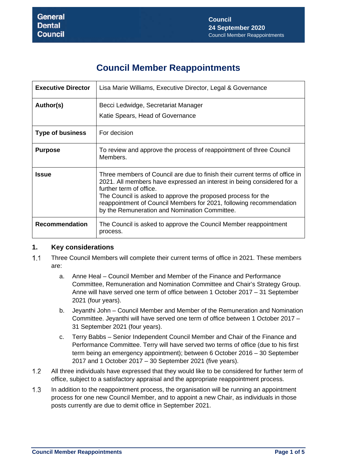# **Council Member Reappointments**

| <b>Executive Director</b> | Lisa Marie Williams, Executive Director, Legal & Governance                                                                                                                                                                                                                                                                                                              |
|---------------------------|--------------------------------------------------------------------------------------------------------------------------------------------------------------------------------------------------------------------------------------------------------------------------------------------------------------------------------------------------------------------------|
| Author(s)                 | Becci Ledwidge, Secretariat Manager<br>Katie Spears, Head of Governance                                                                                                                                                                                                                                                                                                  |
| <b>Type of business</b>   | For decision                                                                                                                                                                                                                                                                                                                                                             |
| <b>Purpose</b>            | To review and approve the process of reappointment of three Council<br>Members.                                                                                                                                                                                                                                                                                          |
| <b>Issue</b>              | Three members of Council are due to finish their current terms of office in<br>2021. All members have expressed an interest in being considered for a<br>further term of office.<br>The Council is asked to approve the proposed process for the<br>reappointment of Council Members for 2021, following recommendation<br>by the Remuneration and Nomination Committee. |
| <b>Recommendation</b>     | The Council is asked to approve the Council Member reappointment<br>process.                                                                                                                                                                                                                                                                                             |

## **1. Key considerations**

- $1.1$ Three Council Members will complete their current terms of office in 2021. These members are:
	- a. Anne Heal Council Member and Member of the Finance and Performance Committee, Remuneration and Nomination Committee and Chair's Strategy Group. Anne will have served one term of office between 1 October 2017 – 31 September 2021 (four years).
	- b. Jeyanthi John Council Member and Member of the Remuneration and Nomination Committee. Jeyanthi will have served one term of office between 1 October 2017 – 31 September 2021 (four years).
	- c. Terry Babbs Senior Independent Council Member and Chair of the Finance and Performance Committee. Terry will have served two terms of office (due to his first term being an emergency appointment); between 6 October 2016 – 30 September 2017 and 1 October 2017 – 30 September 2021 (five years).
- $1.2$ All three individuals have expressed that they would like to be considered for further term of office, subject to a satisfactory appraisal and the appropriate reappointment process.
- $1.3$ In addition to the reappointment process, the organisation will be running an appointment process for one new Council Member, and to appoint a new Chair, as individuals in those posts currently are due to demit office in September 2021.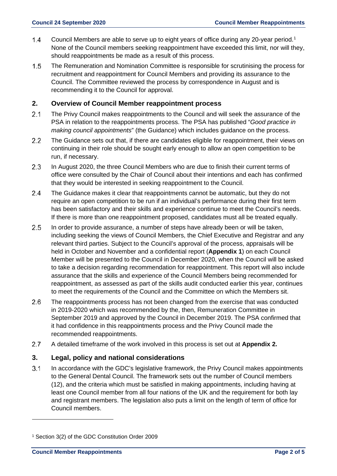- $1.4$ Council Members are able to serve up to eight years of office during any 20-year period.<sup>[1](#page-5-0)</sup> None of the Council members seeking reappointment have exceeded this limit, nor will they, should reappointments be made as a result of this process.
- $1.5$ The Remuneration and Nomination Committee is responsible for scrutinising the process for recruitment and reappointment for Council Members and providing its assurance to the Council. The Committee reviewed the process by correspondence in August and is recommending it to the Council for approval.

## **2. Overview of Council Member reappointment process**

- 2.1 The Privy Council makes reappointments to the Council and will seek the assurance of the PSA in relation to the reappointments process. The PSA has published "*Good practice in making council appointments*" (the Guidance) which includes guidance on the process.
- $2.2$ The Guidance sets out that, if there are candidates eligible for reappointment, their views on continuing in their role should be sought early enough to allow an open competition to be run, if necessary.
- $2.3$ In August 2020, the three Council Members who are due to finish their current terms of office were consulted by the Chair of Council about their intentions and each has confirmed that they would be interested in seeking reappointment to the Council.
- $2.4$ The Guidance makes it clear that reappointments cannot be automatic, but they do not require an open competition to be run if an individual's performance during their first term has been satisfactory and their skills and experience continue to meet the Council's needs. If there is more than one reappointment proposed, candidates must all be treated equally.
- $2.5$ In order to provide assurance, a number of steps have already been or will be taken, including seeking the views of Council Members, the Chief Executive and Registrar and any relevant third parties. Subject to the Council's approval of the process, appraisals will be held in October and November and a confidential report (**Appendix 1**) on each Council Member will be presented to the Council in December 2020, when the Council will be asked to take a decision regarding recommendation for reappointment. This report will also include assurance that the skills and experience of the Council Members being recommended for reappointment, as assessed as part of the skills audit conducted earlier this year, continues to meet the requirements of the Council and the Committee on which the Members sit.
- $2.6$ The reappointments process has not been changed from the exercise that was conducted in 2019-2020 which was recommended by the, then, Remuneration Committee in September 2019 and approved by the Council in December 2019. The PSA confirmed that it had confidence in this reappointments process and the Privy Council made the recommended reappointments.
- $2.7$ A detailed timeframe of the work involved in this process is set out at **Appendix 2.**

### **3. Legal, policy and national considerations**

 $3.1$ In accordance with the GDC's legislative framework, the Privy Council makes appointments to the General Dental Council. The framework sets out the number of Council members (12), and the criteria which must be satisfied in making appointments, including having at least one Council member from all four nations of the UK and the requirement for both lay and registrant members. The legislation also puts a limit on the length of term of office for Council members.

<span id="page-5-0"></span><sup>1</sup> Section 3(2) of the GDC Constitution Order 2009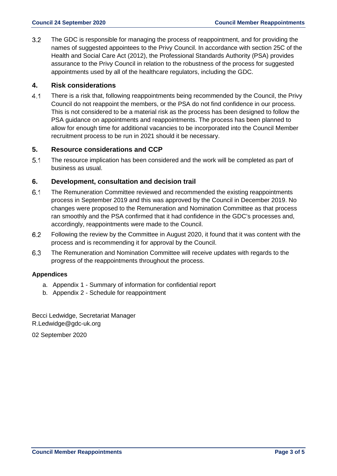$3.2$ The GDC is responsible for managing the process of reappointment, and for providing the names of suggested appointees to the Privy Council. In accordance with section 25C of the Health and Social Care Act (2012), the Professional Standards Authority (PSA) provides assurance to the Privy Council in relation to the robustness of the process for suggested appointments used by all of the healthcare regulators, including the GDC.

## **4. Risk considerations**

 $4.1$ There is a risk that, following reappointments being recommended by the Council, the Privy Council do not reappoint the members, or the PSA do not find confidence in our process. This is not considered to be a material risk as the process has been designed to follow the PSA guidance on appointments and reappointments. The process has been planned to allow for enough time for additional vacancies to be incorporated into the Council Member recruitment process to be run in 2021 should it be necessary.

### **5. Resource considerations and CCP**

 $5.1$ The resource implication has been considered and the work will be completed as part of business as usual.

### **6. Development, consultation and decision trail**

- $6.1$ The Remuneration Committee reviewed and recommended the existing reappointments process in September 2019 and this was approved by the Council in December 2019. No changes were proposed to the Remuneration and Nomination Committee as that process ran smoothly and the PSA confirmed that it had confidence in the GDC's processes and, accordingly, reappointments were made to the Council.
- $6.2$ Following the review by the Committee in August 2020, it found that it was content with the process and is recommending it for approval by the Council.
- 6.3 The Remuneration and Nomination Committee will receive updates with regards to the progress of the reappointments throughout the process.

### **Appendices**

- a. Appendix 1 Summary of information for confidential report
- b. Appendix 2 Schedule for reappointment

Becci Ledwidge, Secretariat Manager R.Ledwidge@gdc-uk.org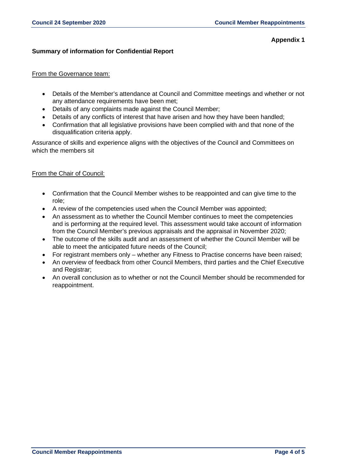### **Appendix 1**

### **Summary of information for Confidential Report**

### From the Governance team:

- Details of the Member's attendance at Council and Committee meetings and whether or not any attendance requirements have been met;
- Details of any complaints made against the Council Member;
- Details of any conflicts of interest that have arisen and how they have been handled;
- Confirmation that all legislative provisions have been complied with and that none of the disqualification criteria apply.

Assurance of skills and experience aligns with the objectives of the Council and Committees on which the members sit

### From the Chair of Council:

- Confirmation that the Council Member wishes to be reappointed and can give time to the role;
- A review of the competencies used when the Council Member was appointed;
- An assessment as to whether the Council Member continues to meet the competencies and is performing at the required level. This assessment would take account of information from the Council Member's previous appraisals and the appraisal in November 2020;
- The outcome of the skills audit and an assessment of whether the Council Member will be able to meet the anticipated future needs of the Council;
- For registrant members only whether any Fitness to Practise concerns have been raised;
- An overview of feedback from other Council Members, third parties and the Chief Executive and Registrar;
- An overall conclusion as to whether or not the Council Member should be recommended for reappointment.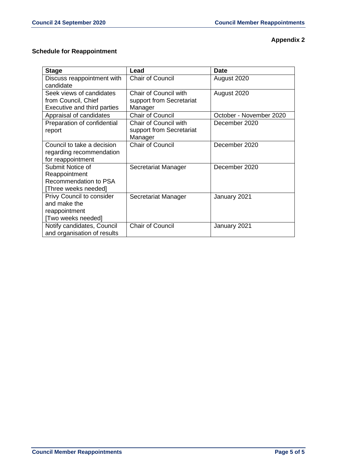## **Appendix 2**

## **Schedule for Reappointment**

| <b>Stage</b>                                                                       | Lead                                                                | <b>Date</b>             |
|------------------------------------------------------------------------------------|---------------------------------------------------------------------|-------------------------|
| Discuss reappointment with<br>candidate                                            | Chair of Council                                                    | August 2020             |
| Seek views of candidates<br>from Council, Chief<br>Executive and third parties     | <b>Chair of Council with</b><br>support from Secretariat<br>Manager | August 2020             |
| Appraisal of candidates                                                            | <b>Chair of Council</b>                                             | October - November 2020 |
| Preparation of confidential<br>report                                              | <b>Chair of Council with</b><br>support from Secretariat<br>Manager | December 2020           |
| Council to take a decision<br>regarding recommendation<br>for reappointment        | <b>Chair of Council</b>                                             | December 2020           |
| Submit Notice of<br>Reappointment<br>Recommendation to PSA<br>[Three weeks needed] | Secretariat Manager                                                 | December 2020           |
| Privy Council to consider<br>and make the<br>reappointment<br>[Two weeks needed]   | Secretariat Manager                                                 | January 2021            |
| Notify candidates, Council<br>and organisation of results                          | <b>Chair of Council</b>                                             | January 2021            |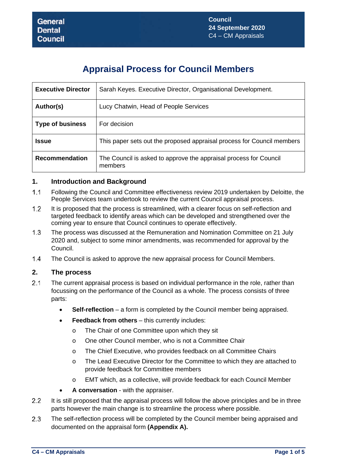# **Appraisal Process for Council Members**

| <b>Executive Director</b> | Sarah Keyes. Executive Director, Organisational Development.                 |
|---------------------------|------------------------------------------------------------------------------|
| Author(s)                 | Lucy Chatwin, Head of People Services                                        |
| <b>Type of business</b>   | For decision                                                                 |
| <b>Issue</b>              | This paper sets out the proposed appraisal process for Council members       |
| <b>Recommendation</b>     | The Council is asked to approve the appraisal process for Council<br>members |

## **1. Introduction and Background**

- $1.1$ Following the Council and Committee effectiveness review 2019 undertaken by Deloitte, the People Services team undertook to review the current Council appraisal process.
- $1.2$ It is proposed that the process is streamlined, with a clearer focus on self-reflection and targeted feedback to identify areas which can be developed and strengthened over the coming year to ensure that Council continues to operate effectively.
- $1.3$ The process was discussed at the Remuneration and Nomination Committee on 21 July 2020 and, subject to some minor amendments, was recommended for approval by the Council.
- $1.4$ The Council is asked to approve the new appraisal process for Council Members.

## **2. The process**

- $21$ The current appraisal process is based on individual performance in the role, rather than focussing on the performance of the Council as a whole. The process consists of three parts:
	- **Self-reflection** a form is completed by the Council member being appraised.
	- **Feedback from others** this currently includes:
		- o The Chair of one Committee upon which they sit
		- o One other Council member, who is not a Committee Chair
		- o The Chief Executive, who provides feedback on all Committee Chairs
		- o The Lead Executive Director for the Committee to which they are attached to provide feedback for Committee members
		- o EMT which, as a collective, will provide feedback for each Council Member
	- **A conversation** with the appraiser.
- $2.2$ It is still proposed that the appraisal process will follow the above principles and be in three parts however the main change is to streamline the process where possible.
- $2.3$ The self-reflection process will be completed by the Council member being appraised and documented on the appraisal form **(Appendix A).**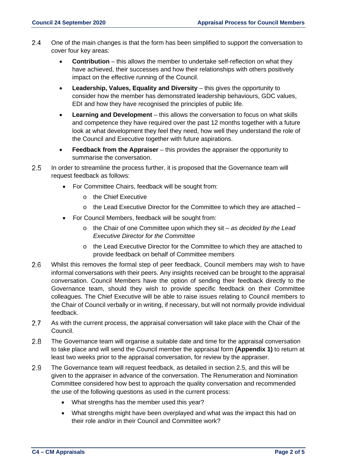- $2.4$ One of the main changes is that the form has been simplified to support the conversation to cover four key areas:
	- **Contribution** this allows the member to undertake self-reflection on what they have achieved, their successes and how their relationships with others positively impact on the effective running of the Council.
	- **Leadership, Values, Equality and Diversity** this gives the opportunity to consider how the member has demonstrated leadership behaviours, GDC values, EDI and how they have recognised the principles of public life.
	- **Learning and Development** this allows the conversation to focus on what skills and competence they have required over the past 12 months together with a future look at what development they feel they need, how well they understand the role of the Council and Executive together with future aspirations.
	- **Feedback from the Appraiser** this provides the appraiser the opportunity to summarise the conversation.
- 2.5 In order to streamline the process further, it is proposed that the Governance team will request feedback as follows:
	- For Committee Chairs, feedback will be sought from:
		- o the Chief Executive
		- $\circ$  the Lead Executive Director for the Committee to which they are attached –
	- For Council Members, feedback will be sought from:
		- o the Chair of one Committee upon which they sit  *as decided by the Lead Executive Director for the Committee*
		- o the Lead Executive Director for the Committee to which they are attached to provide feedback on behalf of Committee members
- $2.6$ Whilst this removes the formal step of peer feedback, Council members may wish to have informal conversations with their peers. Any insights received can be brought to the appraisal conversation. Council Members have the option of sending their feedback directly to the Governance team, should they wish to provide specific feedback on their Committee colleagues. The Chief Executive will be able to raise issues relating to Council members to the Chair of Council verbally or in writing, if necessary, but will not normally provide individual feedback.
- $2.7$ As with the current process, the appraisal conversation will take place with the Chair of the Council.
- 2.8 The Governance team will organise a suitable date and time for the appraisal conversation to take place and will send the Council member the appraisal form **(Appendix 1)** to return at least two weeks prior to the appraisal conversation, for review by the appraiser.
- 2.9 The Governance team will request feedback, as detailed in section 2.5, and this will be given to the appraiser in advance of the conversation. The Renumeration and Nomination Committee considered how best to approach the quality conversation and recommended the use of the following questions as used in the current process:
	- What strengths has the member used this year?
	- What strengths might have been overplayed and what was the impact this had on their role and/or in their Council and Committee work?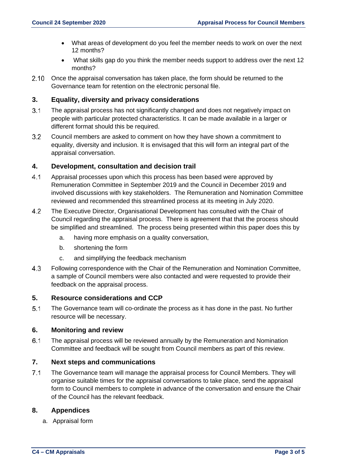- What areas of development do you feel the member needs to work on over the next 12 months?
- What skills gap do you think the member needs support to address over the next 12 months?
- 2.10 Once the appraisal conversation has taken place, the form should be returned to the Governance team for retention on the electronic personal file.

## **3. Equality, diversity and privacy considerations**

- $3.1$ The appraisal process has not significantly changed and does not negatively impact on people with particular protected characteristics. It can be made available in a larger or different format should this be required.
- $3.2$ Council members are asked to comment on how they have shown a commitment to equality, diversity and inclusion. It is envisaged that this will form an integral part of the appraisal conversation.

### **4. Development, consultation and decision trail**

- $4.1$ Appraisal processes upon which this process has been based were approved by Remuneration Committee in September 2019 and the Council in December 2019 and involved discussions with key stakeholders. The Remuneration and Nomination Committee reviewed and recommended this streamlined process at its meeting in July 2020.
- 4.2 The Executive Director, Organisational Development has consulted with the Chair of Council regarding the appraisal process. There is agreement that that the process should be simplified and streamlined. The process being presented within this paper does this by
	- a. having more emphasis on a quality conversation,
	- b. shortening the form
	- c. and simplifying the feedback mechanism
- 4.3 Following correspondence with the Chair of the Remuneration and Nomination Committee, a sample of Council members were also contacted and were requested to provide their feedback on the appraisal process.

### **5. Resource considerations and CCP**

 $5.1$ The Governance team will co-ordinate the process as it has done in the past. No further resource will be necessary.

### **6. Monitoring and review**

 $6.1$ The appraisal process will be reviewed annually by the Remuneration and Nomination Committee and feedback will be sought from Council members as part of this review.

## **7. Next steps and communications**

 $7.1$ The Governance team will manage the appraisal process for Council Members. They will organise suitable times for the appraisal conversations to take place, send the appraisal form to Council members to complete in advance of the conversation and ensure the Chair of the Council has the relevant feedback.

### **8. Appendices**

a. Appraisal form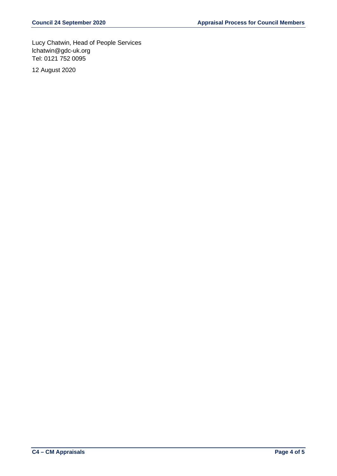Lucy Chatwin, Head of People Services lchatwin@gdc-uk.org Tel: 0121 752 0095

12 August 2020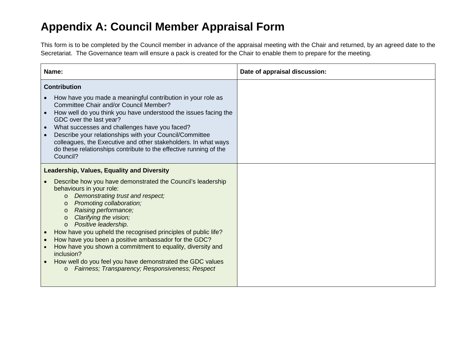# **Appendix A: Council Member Appraisal Form**

This form is to be completed by the Council member in advance of the appraisal meeting with the Chair and returned, by an agreed date to the Secretariat. The Governance team will ensure a pack is created for the Chair to enable them to prepare for the meeting.

| Name:                                                                                                                                                                                                                                                                                                                                                                                                                                                                                                                                                                                                                                                                  | Date of appraisal discussion: |
|------------------------------------------------------------------------------------------------------------------------------------------------------------------------------------------------------------------------------------------------------------------------------------------------------------------------------------------------------------------------------------------------------------------------------------------------------------------------------------------------------------------------------------------------------------------------------------------------------------------------------------------------------------------------|-------------------------------|
| <b>Contribution</b><br>How have you made a meaningful contribution in your role as<br>Committee Chair and/or Council Member?<br>How well do you think you have understood the issues facing the<br>GDC over the last year?<br>What successes and challenges have you faced?<br>$\bullet$<br>Describe your relationships with your Council/Committee<br>colleagues, the Executive and other stakeholders. In what ways<br>do these relationships contribute to the effective running of the<br>Council?                                                                                                                                                                 |                               |
| Leadership, Values, Equality and Diversity<br>Describe how you have demonstrated the Council's leadership<br>behaviours in your role:<br>Demonstrating trust and respect;<br>$\circ$<br>Promoting collaboration;<br>$\circ$<br>Raising performance;<br>$\circ$<br>Clarifying the vision;<br>$\circ$<br>Positive leadership.<br>$\circ$<br>How have you upheld the recognised principles of public life?<br>How have you been a positive ambassador for the GDC?<br>How have you shown a commitment to equality, diversity and<br>inclusion?<br>How well do you feel you have demonstrated the GDC values<br>Fairness; Transparency; Responsiveness; Respect<br>$\circ$ |                               |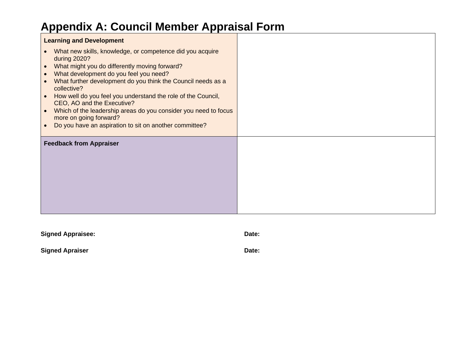# **Appendix A: Council Member Appraisal Form**

| <b>Learning and Development</b>                                                                                                                                                                                                                                                                                                                                                                                                                                                                                                                                                        |  |
|----------------------------------------------------------------------------------------------------------------------------------------------------------------------------------------------------------------------------------------------------------------------------------------------------------------------------------------------------------------------------------------------------------------------------------------------------------------------------------------------------------------------------------------------------------------------------------------|--|
| What new skills, knowledge, or competence did you acquire<br>$\bullet$<br>during 2020?<br>What might you do differently moving forward?<br>$\bullet$<br>What development do you feel you need?<br>$\bullet$<br>What further development do you think the Council needs as a<br>$\bullet$<br>collective?<br>How well do you feel you understand the role of the Council,<br>$\bullet$<br>CEO, AO and the Executive?<br>Which of the leadership areas do you consider you need to focus<br>$\bullet$<br>more on going forward?<br>Do you have an aspiration to sit on another committee? |  |
| <b>Feedback from Appraiser</b>                                                                                                                                                                                                                                                                                                                                                                                                                                                                                                                                                         |  |

| <b>Signed Appraisee:</b> | Date: |
|--------------------------|-------|
| <b>Signed Apraiser</b>   | Date: |
|                          |       |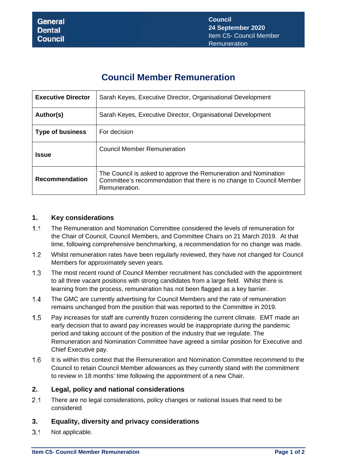# **Council Member Remuneration**

| <b>Executive Director</b> | Sarah Keyes, Executive Director, Organisational Development                                                                                              |
|---------------------------|----------------------------------------------------------------------------------------------------------------------------------------------------------|
| Author(s)                 | Sarah Keyes, Executive Director, Organisational Development                                                                                              |
| <b>Type of business</b>   | For decision                                                                                                                                             |
| <b>Issue</b>              | <b>Council Member Remuneration</b>                                                                                                                       |
| <b>Recommendation</b>     | The Council is asked to approve the Remuneration and Nomination<br>Committee's recommendation that there is no change to Council Member<br>Remuneration. |

## **1. Key considerations**

- $1.1$ The Remuneration and Nomination Committee considered the levels of remuneration for the Chair of Council, Council Members, and Committee Chairs on 21 March 2019. At that time, following comprehensive benchmarking, a recommendation for no change was made.
- $1.2$ Whilst remuneration rates have been regularly reviewed, they have not changed for Council Members for approximately seven years.
- $1.3$ The most recent round of Council Member recruitment has concluded with the appointment to all three vacant positions with strong candidates from a large field. Whilst there is learning from the process, remuneration has not been flagged as a key barrier.
- $1.4$ The GMC are currently advertising for Council Members and the rate of remuneration remains unchanged from the position that was reported to the Committee in 2019.
- $1.5$ Pay increases for staff are currently frozen considering the current climate. EMT made an early decision that to award pay increases would be inappropriate during the pandemic period and taking account of the position of the industry that we regulate. The Remuneration and Nomination Committee have agreed a similar position for Executive and Chief Executive pay.
- $1.6$ It is within this context that the Remuneration and Nomination Committee recommend to the Council to retain Council Member allowances as they currently stand with the commitment to review in 18 months' time following the appointment of a new Chair.

## **2. Legal, policy and national considerations**

 $2.1$ There are no legal considerations, policy changes or national issues that need to be considered

## **3. Equality, diversity and privacy considerations**

 $3.1$ Not applicable.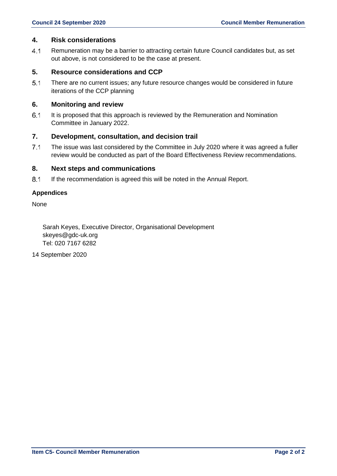### **4. Risk considerations**

 $4.1$ Remuneration may be a barrier to attracting certain future Council candidates but, as set out above, is not considered to be the case at present.

## **5. Resource considerations and CCP**

 $5.1$ There are no current issues; any future resource changes would be considered in future iterations of the CCP planning

### **6. Monitoring and review**

 $6.1$ It is proposed that this approach is reviewed by the Remuneration and Nomination Committee in January 2022.

### **7. Development, consultation, and decision trail**

 $7.1$ The issue was last considered by the Committee in July 2020 where it was agreed a fuller review would be conducted as part of the Board Effectiveness Review recommendations.

### **8. Next steps and communications**

 $8.1$ If the recommendation is agreed this will be noted in the Annual Report.

### **Appendices**

None

Sarah Keyes, Executive Director, Organisational Development skeyes@gdc-uk.org Tel: 020 7167 6282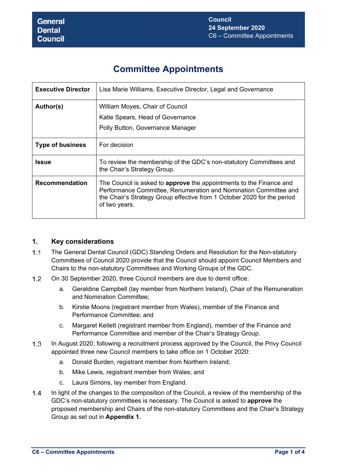# **Committee Appointments**

| <b>Executive Director</b> | Lisa Marie Williams, Executive Director, Legal and Governance                                                                                                                                                                              |
|---------------------------|--------------------------------------------------------------------------------------------------------------------------------------------------------------------------------------------------------------------------------------------|
| Author(s)                 | William Moyes, Chair of Council                                                                                                                                                                                                            |
|                           | Katie Spears, Head of Governance                                                                                                                                                                                                           |
|                           | Polly Button, Governance Manager                                                                                                                                                                                                           |
| <b>Type of business</b>   | For decision                                                                                                                                                                                                                               |
| Issue                     | To review the membership of the GDC's non-statutory Committees and<br>the Chair's Strategy Group.                                                                                                                                          |
| <b>Recommendation</b>     | The Council is asked to <b>approve</b> the appointments to the Finance and<br>Performance Committee, Renumeration and Nomination Committee and<br>the Chair's Strategy Group effective from 1 October 2020 for the period<br>of two years. |

## **1. Key considerations**

- The General Dental Council (GDC) Standing Orders and Resolution for the Non-statutory Committees of Council 2020 provide that the Council should appoint Council Members and Chairs to the non-statutory Committees and Working Groups of the GDC.
- On 30 September 2020, three Council members are due to demit office:
	- a. Geraldine Campbell (lay member from Northern Ireland), Chair of the Remuneration and Nomination Committee;
	- b. Kirstie Moons (registrant member from Wales), member of the Finance and Performance Committee; and
	- c. Margaret Kellett (registrant member from England), member of the Finance and Performance Committee and member of the Chair's Strategy Group.
- In August 2020, following a recruitment process approved by the Council, the Privy Council appointed three new Council members to take office on 1 October 2020:
	- a. Donald Burden, registrant member from Northern Ireland;
	- b. Mike Lewis, registrant member from Wales; and
	- c. Laura Simons, lay member from England.
- In light of the changes to the composition of the Council, a review of the membership of the GDC's non-statutory committees is necessary. The Council is asked to **approve** the proposed membership and Chairs of the non-statutory Committees and the Chair's Strategy Group as set out in **Appendix 1.**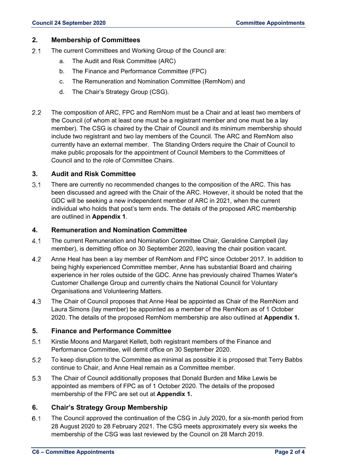### **2. Membership of Committees**

- 2.1 The current Committees and Working Group of the Council are:
	- a. The Audit and Risk Committee (ARC)
	- b. The Finance and Performance Committee (FPC)
	- c. The Remuneration and Nomination Committee (RemNom) and
	- d. The Chair's Strategy Group (CSG).
- 2.2 The composition of ARC, FPC and RemNom must be a Chair and at least two members of the Council (of whom at least one must be a registrant member and one must be a lay member). The CSG is chaired by the Chair of Council and its minimum membership should include two registrant and two lay members of the Council. The ARC and RemNom also currently have an external member. The Standing Orders require the Chair of Council to make public proposals for the appointment of Council Members to the Committees of Council and to the role of Committee Chairs.

### **3. Audit and Risk Committee**

 There are currently no recommended changes to the composition of the ARC. This has been discussed and agreed with the Chair of the ARC. However, it should be noted that the GDC will be seeking a new independent member of ARC in 2021, when the current individual who holds that post's term ends. The details of the proposed ARC membership are outlined in **Appendix 1**.

### **4. Remuneration and Nomination Committee**

- The current Remuneration and Nomination Committee Chair, Geraldine Campbell (lay member), is demitting office on 30 September 2020, leaving the chair position vacant.
- Anne Heal has been a lay member of RemNom and FPC since October 2017. In addition to being highly experienced Committee member, Anne has substantial Board and chairing experience in her roles outside of the GDC. Anne has previously chaired Thames Water's Customer Challenge Group and currently chairs the National Council for Voluntary Organisations and Volunteering Matters.
- The Chair of Council proposes that Anne Heal be appointed as Chair of the RemNom and Laura Simons (lay member) be appointed as a member of the RemNom as of 1 October 2020. The details of the proposed RemNom membership are also outlined at **Appendix 1.**

### **5. Finance and Performance Committee**

- 5.1 Kirstie Moons and Margaret Kellett, both registrant members of the Finance and Performance Committee, will demit office on 30 September 2020.
- To keep disruption to the Committee as minimal as possible it is proposed that Terry Babbs continue to Chair, and Anne Heal remain as a Committee member.
- The Chair of Council additionally proposes that Donald Burden and Mike Lewis be appointed as members of FPC as of 1 October 2020. The details of the proposed membership of the FPC are set out at **Appendix 1.**

### **6. Chair's Strategy Group Membership**

 The Council approved the continuation of the CSG in July 2020, for a six-month period from 28 August 2020 to 28 February 2021. The CSG meets approximately every six weeks the membership of the CSG was last reviewed by the Council on 28 March 2019.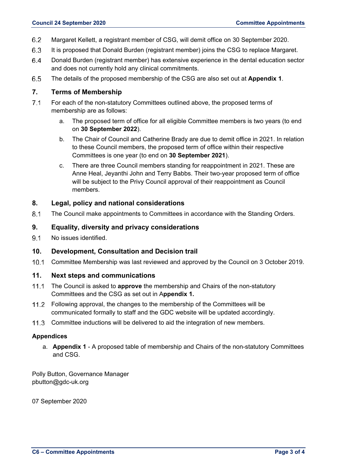- Margaret Kellett, a registrant member of CSG, will demit office on 30 September 2020.
- 6.3 It is proposed that Donald Burden (registrant member) joins the CSG to replace Margaret.
- Donald Burden (registrant member) has extensive experience in the dental education sector and does not currently hold any clinical commitments.
- The details of the proposed membership of the CSG are also set out at **Appendix 1**.

## **7. Terms of Membership**

- For each of the non-statutory Committees outlined above, the proposed terms of membership are as follows:
	- a. The proposed term of office for all eligible Committee members is two years (to end on **30 September 2022**).
	- b. The Chair of Council and Catherine Brady are due to demit office in 2021. In relation to these Council members, the proposed term of office within their respective Committees is one year (to end on **30 September 2021**).
	- c. There are three Council members standing for reappointment in 2021. These are Anne Heal, Jeyanthi John and Terry Babbs. Their two-year proposed term of office will be subject to the Privy Council approval of their reappointment as Council members.

## **8. Legal, policy and national considerations**

The Council make appointments to Committees in accordance with the Standing Orders.

### **9. Equality, diversity and privacy considerations**

9.1 No issues identified.

### **10. Development, Consultation and Decision trail**

Committee Membership was last reviewed and approved by the Council on 3 October 2019.

### **11. Next steps and communications**

- The Council is asked to **approve** the membership and Chairs of the non-statutory Committees and the CSG as set out in A**ppendix 1.**
- 11.2 Following approval, the changes to the membership of the Committees will be communicated formally to staff and the GDC website will be updated accordingly.
- 11.3 Committee inductions will be delivered to aid the integration of new members.

### **Appendices**

a. **Appendix 1** - A proposed table of membership and Chairs of the non-statutory Committees and CSG.

Polly Button, Governance Manager pbutton@gdc-uk.org